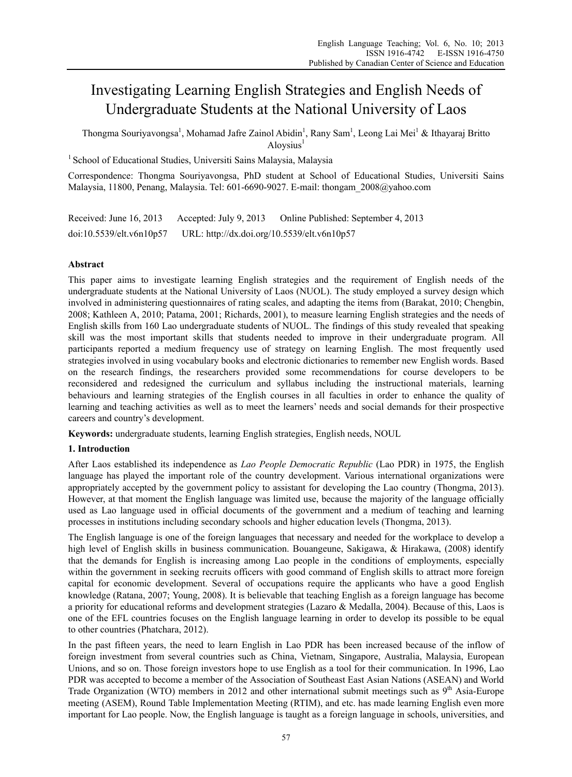# Investigating Learning English Strategies and English Needs of Undergraduate Students at the National University of Laos

Thongma Souriyavongsa<sup>1</sup>, Mohamad Jafre Zainol Abidin<sup>1</sup>, Rany Sam<sup>1</sup>, Leong Lai Mei<sup>1</sup> & Ithayaraj Britto  $A$ loysius<sup>1</sup>

<sup>1</sup> School of Educational Studies, Universiti Sains Malaysia, Malaysia

Correspondence: Thongma Souriyavongsa, PhD student at School of Educational Studies, Universiti Sains Malaysia, 11800, Penang, Malaysia. Tel: 601-6690-9027. E-mail: thongam\_2008@yahoo.com

Received: June 16, 2013 Accepted: July 9, 2013 Online Published: September 4, 2013 doi:10.5539/elt.v6n10p57 URL: http://dx.doi.org/10.5539/elt.v6n10p57

# **Abstract**

This paper aims to investigate learning English strategies and the requirement of English needs of the undergraduate students at the National University of Laos (NUOL). The study employed a survey design which involved in administering questionnaires of rating scales, and adapting the items from (Barakat, 2010; Chengbin, 2008; Kathleen A, 2010; Patama, 2001; Richards, 2001), to measure learning English strategies and the needs of English skills from 160 Lao undergraduate students of NUOL. The findings of this study revealed that speaking skill was the most important skills that students needed to improve in their undergraduate program. All participants reported a medium frequency use of strategy on learning English. The most frequently used strategies involved in using vocabulary books and electronic dictionaries to remember new English words. Based on the research findings, the researchers provided some recommendations for course developers to be reconsidered and redesigned the curriculum and syllabus including the instructional materials, learning behaviours and learning strategies of the English courses in all faculties in order to enhance the quality of learning and teaching activities as well as to meet the learners' needs and social demands for their prospective careers and country's development.

**Keywords:** undergraduate students, learning English strategies, English needs, NOUL

# **1. Introduction**

After Laos established its independence as *Lao People Democratic Republic* (Lao PDR) in 1975, the English language has played the important role of the country development. Various international organizations were appropriately accepted by the government policy to assistant for developing the Lao country (Thongma, 2013). However, at that moment the English language was limited use, because the majority of the language officially used as Lao language used in official documents of the government and a medium of teaching and learning processes in institutions including secondary schools and higher education levels (Thongma, 2013).

The English language is one of the foreign languages that necessary and needed for the workplace to develop a high level of English skills in business communication. Bouangeune, Sakigawa, & Hirakawa, (2008) identify that the demands for English is increasing among Lao people in the conditions of employments, especially within the government in seeking recruits officers with good command of English skills to attract more foreign capital for economic development. Several of occupations require the applicants who have a good English knowledge (Ratana, 2007; Young, 2008). It is believable that teaching English as a foreign language has become a priority for educational reforms and development strategies (Lazaro & Medalla, 2004). Because of this, Laos is one of the EFL countries focuses on the English language learning in order to develop its possible to be equal to other countries (Phatchara, 2012).

In the past fifteen years, the need to learn English in Lao PDR has been increased because of the inflow of foreign investment from several countries such as China, Vietnam, Singapore, Australia, Malaysia, European Unions, and so on. Those foreign investors hope to use English as a tool for their communication. In 1996, Lao PDR was accepted to become a member of the Association of Southeast East Asian Nations (ASEAN) and World Trade Organization (WTO) members in 2012 and other international submit meetings such as  $9<sup>th</sup>$  Asia-Europe meeting (ASEM), Round Table Implementation Meeting (RTIM), and etc. has made learning English even more important for Lao people. Now, the English language is taught as a foreign language in schools, universities, and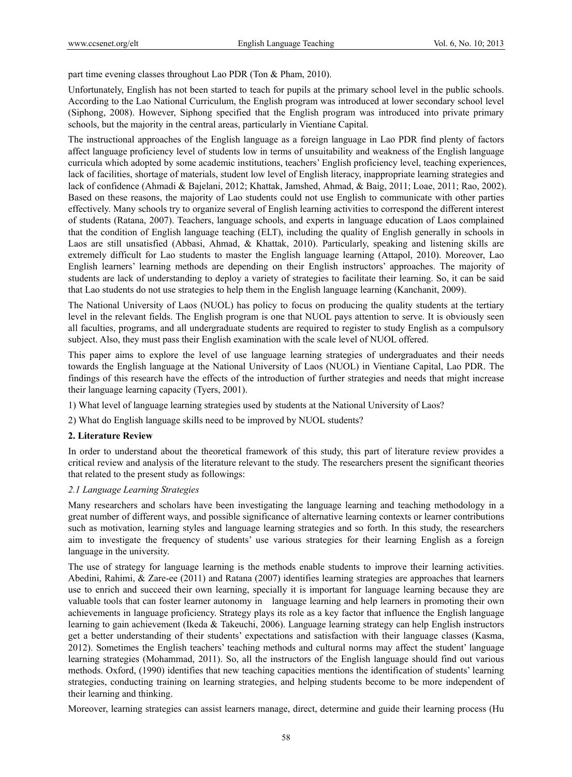part time evening classes throughout Lao PDR (Ton & Pham, 2010).

Unfortunately, English has not been started to teach for pupils at the primary school level in the public schools. According to the Lao National Curriculum, the English program was introduced at lower secondary school level (Siphong, 2008). However, Siphong specified that the English program was introduced into private primary schools, but the majority in the central areas, particularly in Vientiane Capital.

The instructional approaches of the English language as a foreign language in Lao PDR find plenty of factors affect language proficiency level of students low in terms of unsuitability and weakness of the English language curricula which adopted by some academic institutions, teachers' English proficiency level, teaching experiences, lack of facilities, shortage of materials, student low level of English literacy, inappropriate learning strategies and lack of confidence (Ahmadi & Bajelani, 2012; Khattak, Jamshed, Ahmad, & Baig, 2011; Loae, 2011; Rao, 2002). Based on these reasons, the majority of Lao students could not use English to communicate with other parties effectively. Many schools try to organize several of English learning activities to correspond the different interest of students (Ratana, 2007). Teachers, language schools, and experts in language education of Laos complained that the condition of English language teaching (ELT), including the quality of English generally in schools in Laos are still unsatisfied (Abbasi, Ahmad, & Khattak, 2010). Particularly, speaking and listening skills are extremely difficult for Lao students to master the English language learning (Attapol, 2010). Moreover, Lao English learners' learning methods are depending on their English instructors' approaches. The majority of students are lack of understanding to deploy a variety of strategies to facilitate their learning. So, it can be said that Lao students do not use strategies to help them in the English language learning (Kanchanit, 2009).

The National University of Laos (NUOL) has policy to focus on producing the quality students at the tertiary level in the relevant fields. The English program is one that NUOL pays attention to serve. It is obviously seen all faculties, programs, and all undergraduate students are required to register to study English as a compulsory subject. Also, they must pass their English examination with the scale level of NUOL offered.

This paper aims to explore the level of use language learning strategies of undergraduates and their needs towards the English language at the National University of Laos (NUOL) in Vientiane Capital, Lao PDR. The findings of this research have the effects of the introduction of further strategies and needs that might increase their language learning capacity (Tyers, 2001).

- 1) What level of language learning strategies used by students at the National University of Laos?
- 2) What do English language skills need to be improved by NUOL students?

#### **2. Literature Review**

In order to understand about the theoretical framework of this study, this part of literature review provides a critical review and analysis of the literature relevant to the study. The researchers present the significant theories that related to the present study as followings:

## *2.1 Language Learning Strategies*

Many researchers and scholars have been investigating the language learning and teaching methodology in a great number of different ways, and possible significance of alternative learning contexts or learner contributions such as motivation, learning styles and language learning strategies and so forth. In this study, the researchers aim to investigate the frequency of students' use various strategies for their learning English as a foreign language in the university.

The use of strategy for language learning is the methods enable students to improve their learning activities. Abedini, Rahimi, & Zare-ee (2011) and Ratana (2007) identifies learning strategies are approaches that learners use to enrich and succeed their own learning, specially it is important for language learning because they are valuable tools that can foster learner autonomy in language learning and help learners in promoting their own achievements in language proficiency. Strategy plays its role as a key factor that influence the English language learning to gain achievement (Ikeda & Takeuchi, 2006). Language learning strategy can help English instructors get a better understanding of their students' expectations and satisfaction with their language classes (Kasma, 2012). Sometimes the English teachers' teaching methods and cultural norms may affect the student' language learning strategies (Mohammad, 2011). So, all the instructors of the English language should find out various methods. Oxford, (1990) identifies that new teaching capacities mentions the identification of students' learning strategies, conducting training on learning strategies, and helping students become to be more independent of their learning and thinking.

Moreover, learning strategies can assist learners manage, direct, determine and guide their learning process (Hu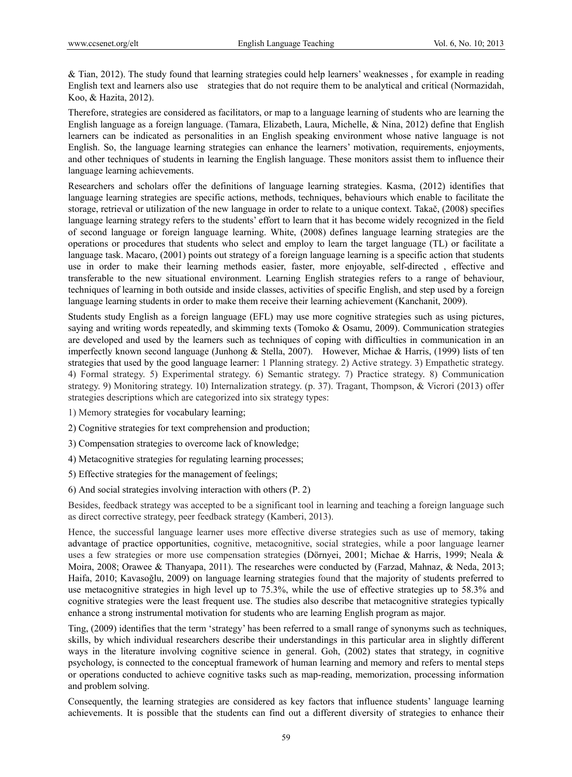& Tian, 2012). The study found that learning strategies could help learners' weaknesses , for example in reading English text and learners also use strategies that do not require them to be analytical and critical (Normazidah, Koo, & Hazita, 2012).

Therefore, strategies are considered as facilitators, or map to a language learning of students who are learning the English language as a foreign language. (Tamara, Elizabeth, Laura, Michelle, & Nina, 2012) define that English learners can be indicated as personalities in an English speaking environment whose native language is not English. So, the language learning strategies can enhance the learners' motivation, requirements, enjoyments, and other techniques of students in learning the English language. These monitors assist them to influence their language learning achievements.

Researchers and scholars offer the definitions of language learning strategies. Kasma, (2012) identifies that language learning strategies are specific actions, methods, techniques, behaviours which enable to facilitate the storage, retrieval or utilization of the new language in order to relate to a unique context. Takač, (2008) specifies language learning strategy refers to the students' effort to learn that it has become widely recognized in the field of second language or foreign language learning. White, (2008) defines language learning strategies are the operations or procedures that students who select and employ to learn the target language (TL) or facilitate a language task. Macaro, (2001) points out strategy of a foreign language learning is a specific action that students use in order to make their learning methods easier, faster, more enjoyable, self-directed , effective and transferable to the new situational environment. Learning English strategies refers to a range of behaviour, techniques of learning in both outside and inside classes, activities of specific English, and step used by a foreign language learning students in order to make them receive their learning achievement (Kanchanit, 2009).

Students study English as a foreign language (EFL) may use more cognitive strategies such as using pictures, saying and writing words repeatedly, and skimming texts (Tomoko & Osamu, 2009). Communication strategies are developed and used by the learners such as techniques of coping with difficulties in communication in an imperfectly known second language (Junhong & Stella, 2007). However, Michae & Harris, (1999) lists of ten strategies that used by the good language learner: 1 Planning strategy. 2) Active strategy. 3) Empathetic strategy. 4) Formal strategy. 5) Experimental strategy. 6) Semantic strategy. 7) Practice strategy. 8) Communication strategy. 9) Monitoring strategy. 10) Internalization strategy. (p. 37). Tragant, Thompson, & Vicrori (2013) offer strategies descriptions which are categorized into six strategy types:

- 1) Memory strategies for vocabulary learning;
- 2) Cognitive strategies for text comprehension and production;
- 3) Compensation strategies to overcome lack of knowledge;
- 4) Metacognitive strategies for regulating learning processes;
- 5) Effective strategies for the management of feelings;
- 6) And social strategies involving interaction with others (P. 2)

Besides, feedback strategy was accepted to be a significant tool in learning and teaching a foreign language such as direct corrective strategy, peer feedback strategy (Kamberi, 2013).

Hence, the successful language learner uses more effective diverse strategies such as use of memory, taking advantage of practice opportunities, cognitive, metacognitive, social strategies, while a poor language learner uses a few strategies or more use compensation strategies (Dörnyei, 2001; Michae & Harris, 1999; Neala & Moira, 2008; Orawee & Thanyapa, 2011). The researches were conducted by (Farzad, Mahnaz, & Neda, 2013; Haifa, 2010; Kavasoğlu, 2009) on language learning strategies found that the majority of students preferred to use metacognitive strategies in high level up to 75.3%, while the use of effective strategies up to 58.3% and cognitive strategies were the least frequent use. The studies also describe that metacognitive strategies typically enhance a strong instrumental motivation for students who are learning English program as major.

Ting, (2009) identifies that the term 'strategy' has been referred to a small range of synonyms such as techniques, skills, by which individual researchers describe their understandings in this particular area in slightly different ways in the literature involving cognitive science in general. Goh, (2002) states that strategy, in cognitive psychology, is connected to the conceptual framework of human learning and memory and refers to mental steps or operations conducted to achieve cognitive tasks such as map-reading, memorization, processing information and problem solving.

Consequently, the learning strategies are considered as key factors that influence students' language learning achievements. It is possible that the students can find out a different diversity of strategies to enhance their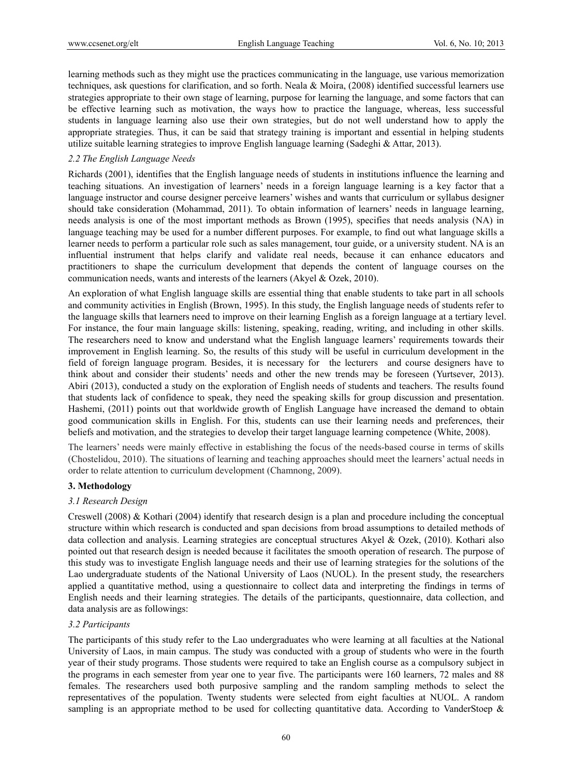learning methods such as they might use the practices communicating in the language, use various memorization techniques, ask questions for clarification, and so forth. Neala & Moira,  $(2008)$  identified successful learners use strategies appropriate to their own stage of learning, purpose for learning the language, and some factors that can be effective learning such as motivation, the ways how to practice the language, whereas, less successful students in language learning also use their own strategies, but do not well understand how to apply the appropriate strategies. Thus, it can be said that strategy training is important and essential in helping students utilize suitable learning strategies to improve English language learning (Sadeghi & Attar, 2013).

## *2.2 The English Language Needs*

Richards (2001), identifies that the English language needs of students in institutions influence the learning and teaching situations. An investigation of learners' needs in a foreign language learning is a key factor that a language instructor and course designer perceive learners' wishes and wants that curriculum or syllabus designer should take consideration (Mohammad, 2011). To obtain information of learners' needs in language learning, needs analysis is one of the most important methods as Brown (1995), specifies that needs analysis (NA) in language teaching may be used for a number different purposes. For example, to find out what language skills a learner needs to perform a particular role such as sales management, tour guide, or a university student. NA is an influential instrument that helps clarify and validate real needs, because it can enhance educators and practitioners to shape the curriculum development that depends the content of language courses on the communication needs, wants and interests of the learners (Akyel & Ozek, 2010).

An exploration of what English language skills are essential thing that enable students to take part in all schools and community activities in English (Brown, 1995). In this study, the English language needs of students refer to the language skills that learners need to improve on their learning English as a foreign language at a tertiary level. For instance, the four main language skills: listening, speaking, reading, writing, and including in other skills. The researchers need to know and understand what the English language learners' requirements towards their improvement in English learning. So, the results of this study will be useful in curriculum development in the field of foreign language program. Besides, it is necessary for the lecturers and course designers have to think about and consider their students' needs and other the new trends may be foreseen (Yurtsever, 2013). Abiri (2013), conducted a study on the exploration of English needs of students and teachers. The results found that students lack of confidence to speak, they need the speaking skills for group discussion and presentation. Hashemi, (2011) points out that worldwide growth of English Language have increased the demand to obtain good communication skills in English. For this, students can use their learning needs and preferences, their beliefs and motivation, and the strategies to develop their target language learning competence (White, 2008).

The learners' needs were mainly effective in establishing the focus of the needs-based course in terms of skills (Chostelidou, 2010). The situations of learning and teaching approaches should meet the learners' actual needs in order to relate attention to curriculum development (Chamnong, 2009).

## **3. Methodology**

## *3.1 Research Design*

Creswell (2008) & Kothari (2004) identify that research design is a plan and procedure including the conceptual structure within which research is conducted and span decisions from broad assumptions to detailed methods of data collection and analysis. Learning strategies are conceptual structures Akyel & Ozek, (2010). Kothari also pointed out that research design is needed because it facilitates the smooth operation of research. The purpose of this study was to investigate English language needs and their use of learning strategies for the solutions of the Lao undergraduate students of the National University of Laos (NUOL). In the present study, the researchers applied a quantitative method, using a questionnaire to collect data and interpreting the findings in terms of English needs and their learning strategies. The details of the participants, questionnaire, data collection, and data analysis are as followings:

## *3.2 Participants*

The participants of this study refer to the Lao undergraduates who were learning at all faculties at the National University of Laos, in main campus. The study was conducted with a group of students who were in the fourth year of their study programs. Those students were required to take an English course as a compulsory subject in the programs in each semester from year one to year five. The participants were 160 learners, 72 males and 88 females. The researchers used both purposive sampling and the random sampling methods to select the representatives of the population. Twenty students were selected from eight faculties at NUOL. A random sampling is an appropriate method to be used for collecting quantitative data. According to VanderStoep  $\&$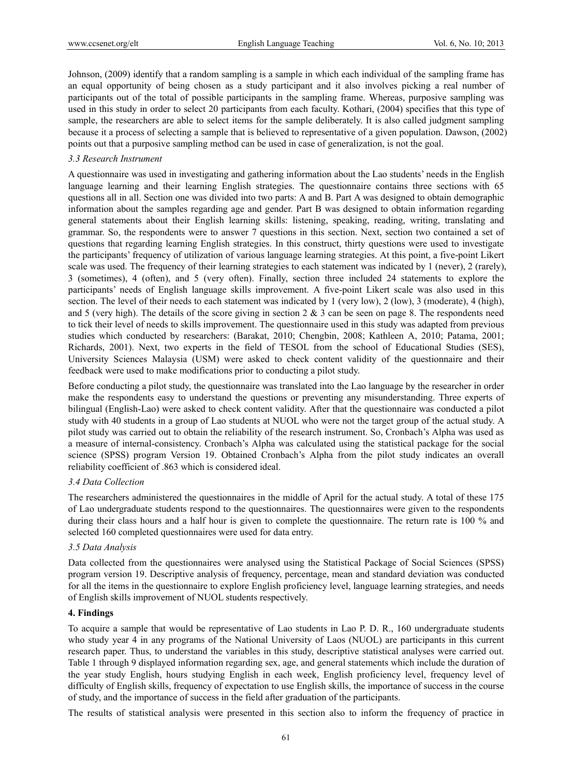Johnson, (2009) identify that a random sampling is a sample in which each individual of the sampling frame has an equal opportunity of being chosen as a study participant and it also involves picking a real number of participants out of the total of possible participants in the sampling frame. Whereas, purposive sampling was used in this study in order to select 20 participants from each faculty. Kothari, (2004) specifies that this type of sample, the researchers are able to select items for the sample deliberately. It is also called judgment sampling because it a process of selecting a sample that is believed to representative of a given population. Dawson, (2002) points out that a purposive sampling method can be used in case of generalization, is not the goal.

## *3.3 Research Instrument*

A questionnaire was used in investigating and gathering information about the Lao students' needs in the English language learning and their learning English strategies. The questionnaire contains three sections with 65 questions all in all. Section one was divided into two parts: A and B. Part A was designed to obtain demographic information about the samples regarding age and gender. Part B was designed to obtain information regarding general statements about their English learning skills: listening, speaking, reading, writing, translating and grammar. So, the respondents were to answer 7 questions in this section. Next, section two contained a set of questions that regarding learning English strategies. In this construct, thirty questions were used to investigate the participants' frequency of utilization of various language learning strategies. At this point, a five-point Likert scale was used. The frequency of their learning strategies to each statement was indicated by 1 (never), 2 (rarely), 3 (sometimes), 4 (often), and 5 (very often). Finally, section three included 24 statements to explore the participants' needs of English language skills improvement. A five-point Likert scale was also used in this section. The level of their needs to each statement was indicated by 1 (very low), 2 (low), 3 (moderate), 4 (high), and 5 (very high). The details of the score giving in section  $2 \& 3$  can be seen on page 8. The respondents need to tick their level of needs to skills improvement. The questionnaire used in this study was adapted from previous studies which conducted by researchers: (Barakat, 2010; Chengbin, 2008; Kathleen A, 2010; Patama, 2001; Richards, 2001). Next, two experts in the field of TESOL from the school of Educational Studies (SES), University Sciences Malaysia (USM) were asked to check content validity of the questionnaire and their feedback were used to make modifications prior to conducting a pilot study.

Before conducting a pilot study, the questionnaire was translated into the Lao language by the researcher in order make the respondents easy to understand the questions or preventing any misunderstanding. Three experts of bilingual (English-Lao) were asked to check content validity. After that the questionnaire was conducted a pilot study with 40 students in a group of Lao students at NUOL who were not the target group of the actual study. A pilot study was carried out to obtain the reliability of the research instrument. So, Cronbach's Alpha was used as a measure of internal-consistency. Cronbach's Alpha was calculated using the statistical package for the social science (SPSS) program Version 19. Obtained Cronbach's Alpha from the pilot study indicates an overall reliability coefficient of .863 which is considered ideal.

# *3.4 Data Collection*

The researchers administered the questionnaires in the middle of April for the actual study. A total of these 175 of Lao undergraduate students respond to the questionnaires. The questionnaires were given to the respondents during their class hours and a half hour is given to complete the questionnaire. The return rate is 100 % and selected 160 completed questionnaires were used for data entry.

## *3.5 Data Analysis*

Data collected from the questionnaires were analysed using the Statistical Package of Social Sciences (SPSS) program version 19. Descriptive analysis of frequency, percentage, mean and standard deviation was conducted for all the items in the questionnaire to explore English proficiency level, language learning strategies, and needs of English skills improvement of NUOL students respectively.

### **4. Findings**

To acquire a sample that would be representative of Lao students in Lao P. D. R., 160 undergraduate students who study year 4 in any programs of the National University of Laos (NUOL) are participants in this current research paper. Thus, to understand the variables in this study, descriptive statistical analyses were carried out. Table 1 through 9 displayed information regarding sex, age, and general statements which include the duration of the year study English, hours studying English in each week, English proficiency level, frequency level of difficulty of English skills, frequency of expectation to use English skills, the importance of success in the course of study, and the importance of success in the field after graduation of the participants.

The results of statistical analysis were presented in this section also to inform the frequency of practice in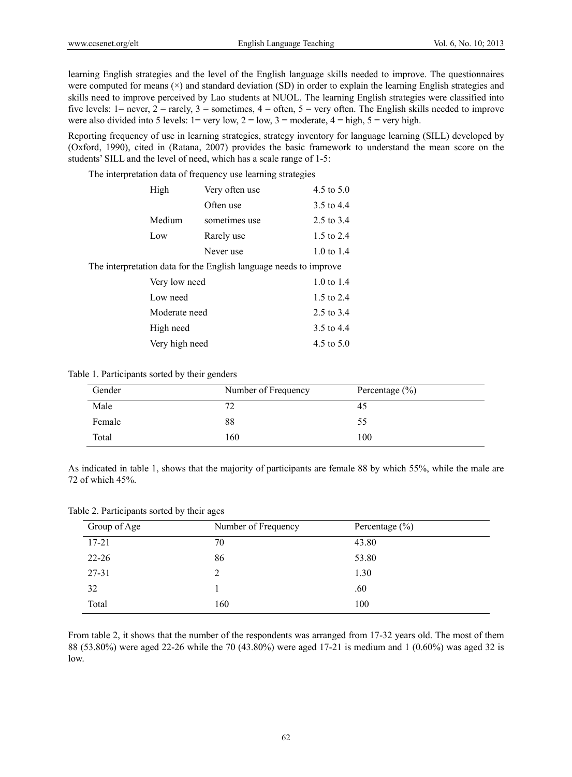learning English strategies and the level of the English language skills needed to improve. The questionnaires were computed for means  $(\times)$  and standard deviation (SD) in order to explain the learning English strategies and skills need to improve perceived by Lao students at NUOL. The learning English strategies were classified into five levels:  $1 =$  never,  $2 =$  rarely,  $3 =$  sometimes,  $4 =$  often,  $5 =$  very often. The English skills needed to improve were also divided into 5 levels:  $1 = \text{very low}, 2 = \text{low}, 3 = \text{moderate}, 4 = \text{high}, 5 = \text{very high}.$ 

Reporting frequency of use in learning strategies, strategy inventory for language learning (SILL) developed by (Oxford, 1990), cited in (Ratana, 2007) provides the basic framework to understand the mean score on the students' SILL and the level of need, which has a scale range of 1-5:

The interpretation data of frequency use learning strategies

| High           | Very often use                                                    | 4.5 to $5.0$          |
|----------------|-------------------------------------------------------------------|-----------------------|
|                | Often use                                                         | 3.5 to 4.4            |
| Medium         | sometimes use                                                     | 2.5 to 3.4            |
| Low            | Rarely use                                                        | 1.5 to 2.4            |
|                | Never use                                                         | $1.0 \text{ to } 1.4$ |
|                | The interpretation data for the English language needs to improve |                       |
| Very low need  |                                                                   | $1.0 \text{ to } 1.4$ |
| Low need       |                                                                   | 1.5 to 2.4            |
| Moderate need  |                                                                   | 2.5 to $3.4$          |
| High need      |                                                                   | 3.5 to 4.4            |
| Very high need |                                                                   | 4.5 to $5.0$          |

#### Table 1. Participants sorted by their genders

| Gender | Number of Frequency | Percentage $(\% )$ |
|--------|---------------------|--------------------|
| Male   | 70                  | 45                 |
| Female | 88                  | 55                 |
| Total  | 160                 | 100                |

As indicated in table 1, shows that the majority of participants are female 88 by which 55%, while the male are 72 of which 45%.

Table 2. Participants sorted by their ages

| Group of Age | Number of Frequency | Percentage $(\% )$ |
|--------------|---------------------|--------------------|
| $17 - 21$    | 70                  | 43.80              |
| $22 - 26$    | 86                  | 53.80              |
| 27-31        | 2                   | 1.30               |
| 32           |                     | .60                |
| Total        | 160                 | 100                |

From table 2, it shows that the number of the respondents was arranged from 17-32 years old. The most of them 88 (53.80%) were aged 22-26 while the 70 (43.80%) were aged 17-21 is medium and 1 (0.60%) was aged 32 is low.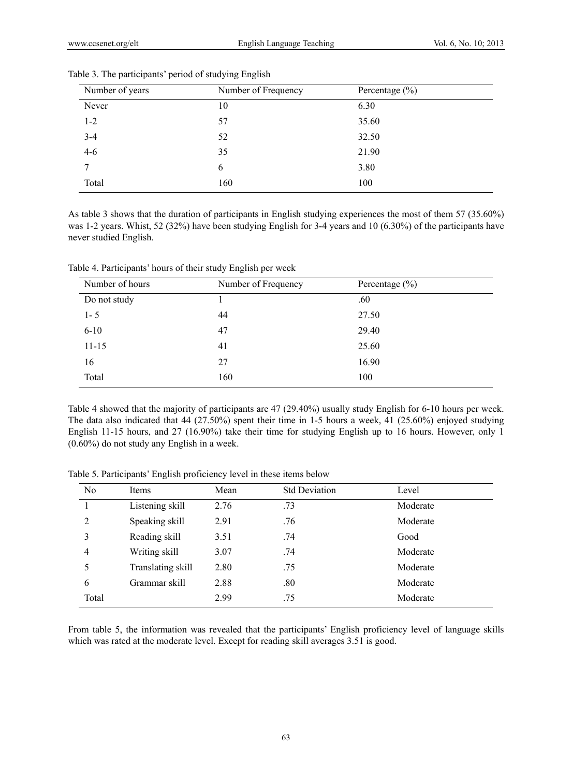| Number of years | Number of Frequency | Percentage $(\% )$ |
|-----------------|---------------------|--------------------|
| Never           | 10                  | 6.30               |
| $1 - 2$         | 57                  | 35.60              |
| $3 - 4$         | 52                  | 32.50              |
| $4-6$           | 35                  | 21.90              |
|                 | 6                   | 3.80               |
| Total           | 160                 | 100                |

Table 3. The participants' period of studying English

As table 3 shows that the duration of participants in English studying experiences the most of them 57 (35.60%) was 1-2 years. Whist, 52 (32%) have been studying English for 3-4 years and 10 (6.30%) of the participants have never studied English.

| Number of hours | Number of Frequency | Percentage $(\% )$ |
|-----------------|---------------------|--------------------|
| Do not study    |                     | .60                |
| $1 - 5$         | 44                  | 27.50              |
| $6 - 10$        | 47                  | 29.40              |
| $11 - 15$       | 41                  | 25.60              |
| 16              | 27                  | 16.90              |
| Total           | 160                 | 100                |

Table 4. Participants' hours of their study English per week

Table 4 showed that the majority of participants are 47 (29.40%) usually study English for 6-10 hours per week. The data also indicated that 44 (27.50%) spent their time in 1-5 hours a week, 41 (25.60%) enjoyed studying English 11-15 hours, and 27 (16.90%) take their time for studying English up to 16 hours. However, only 1 (0.60%) do not study any English in a week.

| N <sub>0</sub> | Items             | Mean | <b>Std Deviation</b> | Level    |
|----------------|-------------------|------|----------------------|----------|
|                | Listening skill   | 2.76 | .73                  | Moderate |
| 2              | Speaking skill    | 2.91 | .76                  | Moderate |
| 3              | Reading skill     | 3.51 | .74                  | Good     |
| $\overline{4}$ | Writing skill     | 3.07 | .74                  | Moderate |
|                | Translating skill | 2.80 | .75                  | Moderate |
| 6              | Grammar skill     | 2.88 | .80                  | Moderate |
| Total          |                   | 2.99 | .75                  | Moderate |

Table 5. Participants' English proficiency level in these items below

From table 5, the information was revealed that the participants' English proficiency level of language skills which was rated at the moderate level. Except for reading skill averages 3.51 is good.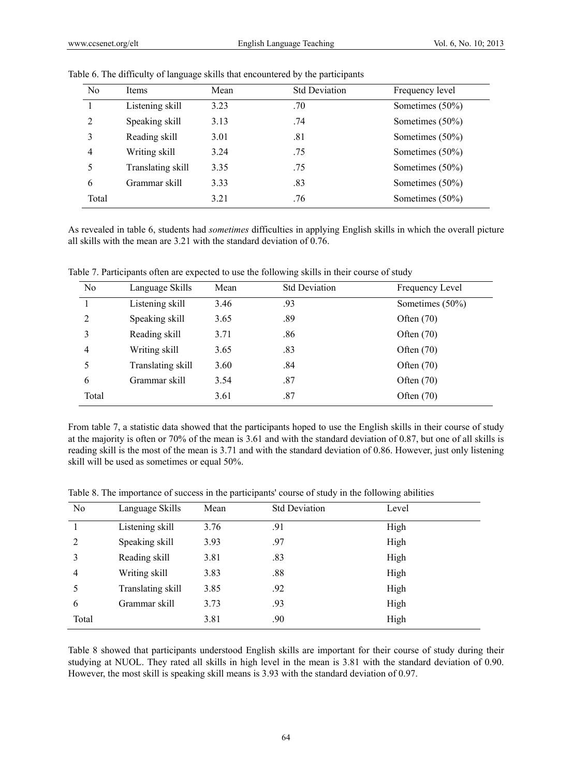| N <sub>0</sub> | Items             | Mean | <b>Std Deviation</b> | Frequency level    |
|----------------|-------------------|------|----------------------|--------------------|
|                | Listening skill   | 3.23 | .70                  | Sometimes (50%)    |
| 2              | Speaking skill    | 3.13 | .74                  | Sometimes (50%)    |
|                | Reading skill     | 3.01 | .81                  | Sometimes (50%)    |
| 4              | Writing skill     | 3.24 | .75                  | Sometimes $(50\%)$ |
|                | Translating skill | 3.35 | .75                  | Sometimes $(50\%)$ |
| 6              | Grammar skill     | 3.33 | .83                  | Sometimes (50%)    |
| Total          |                   | 3.21 | .76                  | Sometimes (50%)    |

Table 6. The difficulty of language skills that encountered by the participants

As revealed in table 6, students had *sometimes* difficulties in applying English skills in which the overall picture all skills with the mean are 3.21 with the standard deviation of 0.76.

Table 7. Participants often are expected to use the following skills in their course of study

| No    | Language Skills   | Mean | <b>Std Deviation</b> | Frequency Level    |
|-------|-------------------|------|----------------------|--------------------|
|       | Listening skill   | 3.46 | .93                  | Sometimes $(50\%)$ |
| 2     | Speaking skill    | 3.65 | .89                  | Often $(70)$       |
|       | Reading skill     | 3.71 | .86                  | Often $(70)$       |
| 4     | Writing skill     | 3.65 | .83                  | Often $(70)$       |
| 5     | Translating skill | 3.60 | .84                  | Often $(70)$       |
| 6     | Grammar skill     | 3.54 | .87                  | Often $(70)$       |
| Total |                   | 3.61 | .87                  | Often $(70)$       |

From table 7, a statistic data showed that the participants hoped to use the English skills in their course of study at the majority is often or 70% of the mean is 3.61 and with the standard deviation of 0.87, but one of all skills is reading skill is the most of the mean is 3.71 and with the standard deviation of 0.86. However, just only listening skill will be used as sometimes or equal 50%.

Table 8. The importance of success in the participants' course of study in the following abilities

| No    | Language Skills   | Mean | <b>Std Deviation</b> | Level |  |
|-------|-------------------|------|----------------------|-------|--|
|       | Listening skill   | 3.76 | .91                  | High  |  |
| 2     | Speaking skill    | 3.93 | .97                  | High  |  |
| 3     | Reading skill     | 3.81 | .83                  | High  |  |
| 4     | Writing skill     | 3.83 | .88                  | High  |  |
|       | Translating skill | 3.85 | .92                  | High  |  |
| 6     | Grammar skill     | 3.73 | .93                  | High  |  |
| Total |                   | 3.81 | .90                  | High  |  |

Table 8 showed that participants understood English skills are important for their course of study during their studying at NUOL. They rated all skills in high level in the mean is 3.81 with the standard deviation of 0.90. However, the most skill is speaking skill means is 3.93 with the standard deviation of 0.97.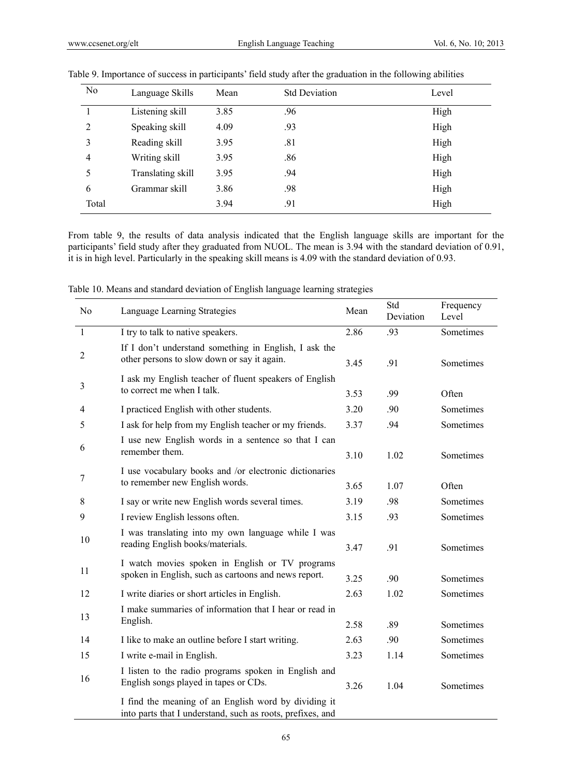| No    | Language Skills   | Mean | <b>Std Deviation</b> | Level |  |
|-------|-------------------|------|----------------------|-------|--|
|       | Listening skill   | 3.85 | .96                  | High  |  |
| 2     | Speaking skill    | 4.09 | .93                  | High  |  |
| 3     | Reading skill     | 3.95 | .81                  | High  |  |
| 4     | Writing skill     | 3.95 | .86                  | High  |  |
| 5     | Translating skill | 3.95 | .94                  | High  |  |
| 6     | Grammar skill     | 3.86 | .98                  | High  |  |
| Total |                   | 3.94 | .91                  | High  |  |

|  |  |  |  | Table 9. Importance of success in participants' field study after the graduation in the following abilities |  |
|--|--|--|--|-------------------------------------------------------------------------------------------------------------|--|
|  |  |  |  |                                                                                                             |  |

From table 9, the results of data analysis indicated that the English language skills are important for the participants' field study after they graduated from NUOL. The mean is 3.94 with the standard deviation of 0.91, it is in high level. Particularly in the speaking skill means is 4.09 with the standard deviation of 0.93.

| No             | Language Learning Strategies                                                                                       |      | Std<br>Deviation | Frequency<br>Level |
|----------------|--------------------------------------------------------------------------------------------------------------------|------|------------------|--------------------|
| $\mathbf{1}$   | I try to talk to native speakers.                                                                                  | 2.86 | .93              | Sometimes          |
| $\overline{2}$ | If I don't understand something in English, I ask the<br>other persons to slow down or say it again.               | 3.45 | .91              | Sometimes          |
| 3              | I ask my English teacher of fluent speakers of English<br>to correct me when I talk.                               | 3.53 | .99              | Often              |
| $\overline{4}$ | I practiced English with other students.                                                                           | 3.20 | .90              | Sometimes          |
| 5              | I ask for help from my English teacher or my friends.                                                              | 3.37 | .94              | Sometimes          |
| 6              | I use new English words in a sentence so that I can<br>remember them.                                              | 3.10 | 1.02             | Sometimes          |
| 7              | I use vocabulary books and /or electronic dictionaries<br>to remember new English words.                           | 3.65 | 1.07             | Often              |
| 8              | I say or write new English words several times.                                                                    | 3.19 | .98              | Sometimes          |
| 9              | I review English lessons often.                                                                                    | 3.15 | .93              | Sometimes          |
| 10             | I was translating into my own language while I was<br>reading English books/materials.                             | 3.47 | .91              | Sometimes          |
| 11             | I watch movies spoken in English or TV programs<br>spoken in English, such as cartoons and news report.            | 3.25 | .90              | Sometimes          |
| 12             | I write diaries or short articles in English.                                                                      | 2.63 | 1.02             | Sometimes          |
| 13             | I make summaries of information that I hear or read in<br>English.                                                 | 2.58 | .89              | Sometimes          |
| 14             | I like to make an outline before I start writing.                                                                  | 2.63 | .90              | Sometimes          |
| 15             | I write e-mail in English.                                                                                         | 3.23 | 1.14             | Sometimes          |
| 16             | I listen to the radio programs spoken in English and<br>English songs played in tapes or CDs.                      | 3.26 | 1.04             | Sometimes          |
|                | I find the meaning of an English word by dividing it<br>into parts that I understand, such as roots, prefixes, and |      |                  |                    |

Table 10. Means and standard deviation of English language learning strategies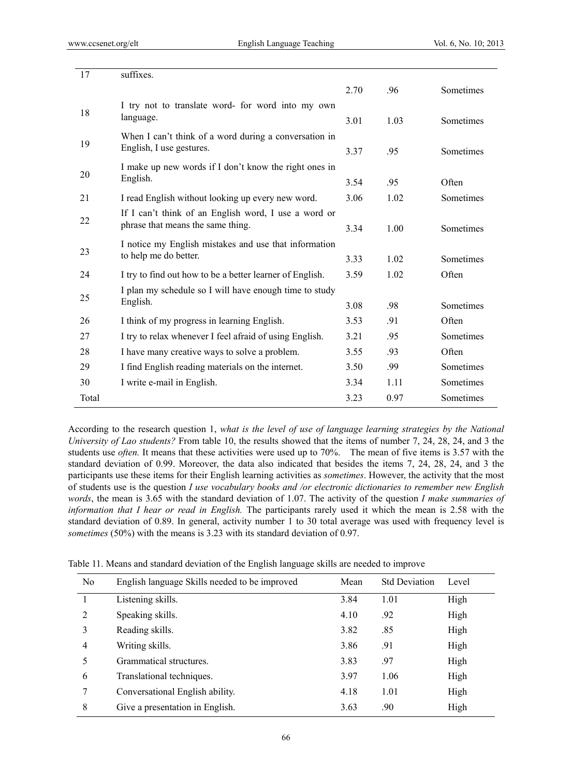| 17    | suffixes.                                                                                 |      |      |                  |
|-------|-------------------------------------------------------------------------------------------|------|------|------------------|
|       |                                                                                           | 2.70 | .96  | Sometimes        |
| 18    | I try not to translate word- for word into my own<br>language.                            | 3.01 | 1.03 | Sometimes        |
| 19    | When I can't think of a word during a conversation in<br>English, I use gestures.         | 3.37 | .95  | Sometimes        |
| 20    | I make up new words if I don't know the right ones in<br>English.                         | 3.54 | .95  | Often            |
| 21    | I read English without looking up every new word.                                         | 3.06 | 1.02 | Sometimes        |
| 22    | If I can't think of an English word, I use a word or<br>phrase that means the same thing. | 3.34 | 1.00 | Sometimes        |
| 23    | I notice my English mistakes and use that information<br>to help me do better.            | 3.33 | 1.02 | <b>Sometimes</b> |
| 24    | I try to find out how to be a better learner of English.                                  | 3.59 | 1.02 | Often            |
| 25    | I plan my schedule so I will have enough time to study<br>English.                        | 3.08 | .98  | Sometimes        |
| 26    | I think of my progress in learning English.                                               | 3.53 | .91  | Often            |
| 27    | I try to relax whenever I feel afraid of using English.                                   | 3.21 | .95  | Sometimes        |
| 28    | I have many creative ways to solve a problem.                                             | 3.55 | .93  | Often            |
| 29    | I find English reading materials on the internet.                                         | 3.50 | .99  | Sometimes        |
| 30    | I write e-mail in English.                                                                | 3.34 | 1.11 | Sometimes        |
| Total |                                                                                           | 3.23 | 0.97 | Sometimes        |

According to the research question 1, *what is the level of use of language learning strategies by the National University of Lao students?* From table 10, the results showed that the items of number 7, 24, 28, 24, and 3 the students use *often.* It means that these activities were used up to 70%. The mean of five items is 3.57 with the standard deviation of 0.99. Moreover, the data also indicated that besides the items 7, 24, 28, 24, and 3 the participants use these items for their English learning activities as *sometimes*. However, the activity that the most of students use is the question *I use vocabulary books and /or electronic dictionaries to remember new English words*, the mean is 3.65 with the standard deviation of 1.07. The activity of the question *I make summaries of information that I hear or read in English.* The participants rarely used it which the mean is 2.58 with the standard deviation of 0.89. In general, activity number 1 to 30 total average was used with frequency level is *sometimes* (50%) with the means is 3.23 with its standard deviation of 0.97.

| No             | English language Skills needed to be improved | Mean | <b>Std Deviation</b> | Level |  |
|----------------|-----------------------------------------------|------|----------------------|-------|--|
|                | Listening skills.                             | 3.84 | 1.01                 | High  |  |
| $\overline{2}$ | Speaking skills.                              | 4.10 | .92                  | High  |  |
| 3              | Reading skills.                               | 3.82 | .85                  | High  |  |
| $\overline{4}$ | Writing skills.                               | 3.86 | .91                  | High  |  |
| 5              | Grammatical structures.                       | 3.83 | .97                  | High  |  |
| 6              | Translational techniques.                     | 3.97 | 1.06                 | High  |  |
| 7              | Conversational English ability.               | 4.18 | 1.01                 | High  |  |
| 8              | Give a presentation in English.               | 3.63 | .90                  | High  |  |
|                |                                               |      |                      |       |  |

Table 11. Means and standard deviation of the English language skills are needed to improve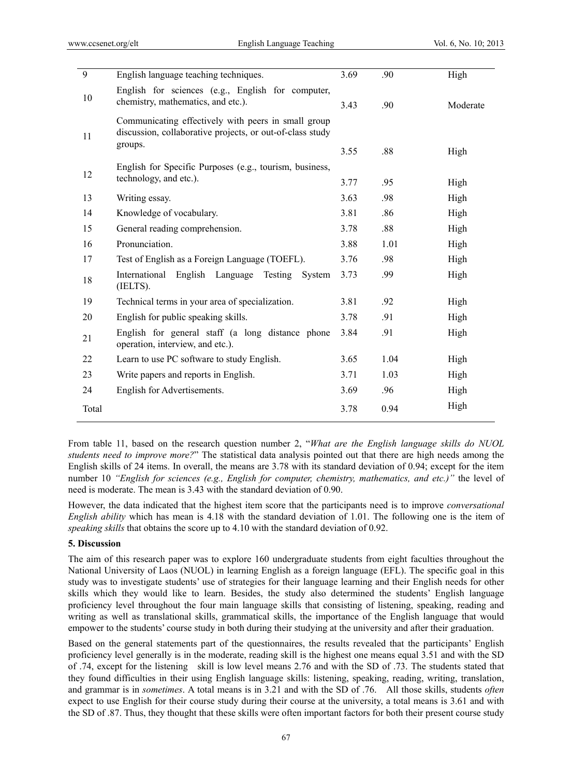| 9     | English language teaching techniques.                                                                                       | 3.69 | .90  | High     |
|-------|-----------------------------------------------------------------------------------------------------------------------------|------|------|----------|
| 10    | English for sciences (e.g., English for computer,<br>chemistry, mathematics, and etc.).                                     | 3.43 | .90  | Moderate |
| 11    | Communicating effectively with peers in small group<br>discussion, collaborative projects, or out-of-class study<br>groups. |      |      |          |
|       |                                                                                                                             | 3.55 | .88  | High     |
| 12    | English for Specific Purposes (e.g., tourism, business,                                                                     |      |      |          |
|       | technology, and etc.).                                                                                                      | 3.77 | .95  | High     |
| 13    | Writing essay.                                                                                                              | 3.63 | .98  | High     |
| 14    | Knowledge of vocabulary.                                                                                                    | 3.81 | .86  | High     |
| 15    | General reading comprehension.                                                                                              | 3.78 | .88  | High     |
| 16    | Pronunciation.                                                                                                              | 3.88 | 1.01 | High     |
| 17    | Test of English as a Foreign Language (TOEFL).                                                                              | 3.76 | .98  | High     |
| 18    | English<br>International<br>Language<br>Testing<br>System<br>(IELTS).                                                       | 3.73 | .99  | High     |
| 19    | Technical terms in your area of specialization.                                                                             | 3.81 | .92  | High     |
| 20    | English for public speaking skills.                                                                                         | 3.78 | .91  | High     |
| 21    | English for general staff (a long distance phone<br>operation, interview, and etc.).                                        | 3.84 | .91  | High     |
| 22    | Learn to use PC software to study English.                                                                                  | 3.65 | 1.04 | High     |
| 23    | Write papers and reports in English.                                                                                        | 3.71 | 1.03 | High     |
| 24    | English for Advertisements.                                                                                                 | 3.69 | .96  | High     |
| Total |                                                                                                                             | 3.78 | 0.94 | High     |

From table 11, based on the research question number 2, "*What are the English language skills do NUOL students need to improve more?*" The statistical data analysis pointed out that there are high needs among the English skills of 24 items. In overall, the means are 3.78 with its standard deviation of 0.94; except for the item number 10 *"English for sciences (e.g., English for computer, chemistry, mathematics, and etc.)"* the level of need is moderate. The mean is 3.43 with the standard deviation of 0.90.

However, the data indicated that the highest item score that the participants need is to improve *conversational English ability* which has mean is 4.18 with the standard deviation of 1.01. The following one is the item of *speaking skills* that obtains the score up to 4.10 with the standard deviation of 0.92.

## **5. Discussion**

The aim of this research paper was to explore 160 undergraduate students from eight faculties throughout the National University of Laos (NUOL) in learning English as a foreign language (EFL). The specific goal in this study was to investigate students' use of strategies for their language learning and their English needs for other skills which they would like to learn. Besides, the study also determined the students' English language proficiency level throughout the four main language skills that consisting of listening, speaking, reading and writing as well as translational skills, grammatical skills, the importance of the English language that would empower to the students' course study in both during their studying at the university and after their graduation.

Based on the general statements part of the questionnaires, the results revealed that the participants' English proficiency level generally is in the moderate, reading skill is the highest one means equal 3.51 and with the SD of .74, except for the listening skill is low level means 2.76 and with the SD of .73. The students stated that they found difficulties in their using English language skills: listening, speaking, reading, writing, translation, and grammar is in *sometimes*. A total means is in 3.21 and with the SD of .76. All those skills, students *often* expect to use English for their course study during their course at the university, a total means is 3.61 and with the SD of .87. Thus, they thought that these skills were often important factors for both their present course study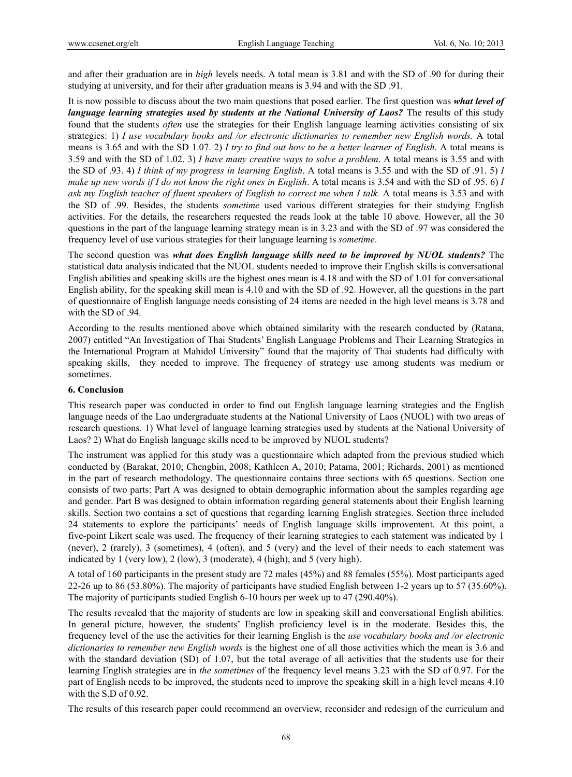and after their graduation are in *high* levels needs. A total mean is 3.81 and with the SD of .90 for during their studying at university, and for their after graduation means is 3.94 and with the SD .91.

It is now possible to discuss about the two main questions that posed earlier. The first question was *what level of language learning strategies used by students at the National University of Laos?* The results of this study found that the students *often* use the strategies for their English language learning activities consisting of six strategies: 1) *I use vocabulary books and /or electronic dictionaries to remember new English words.* A total means is 3.65 and with the SD 1.07. 2) *I try to find out how to be a better learner of English*. A total means is 3.59 and with the SD of 1.02. 3) *I have many creative ways to solve a problem*. A total means is 3.55 and with the SD of .93. 4) *I think of my progress in learning English*. A total means is 3.55 and with the SD of .91. 5) *I make up new words if I do not know the right ones in English*. A total means is 3.54 and with the SD of .95. 6) *I ask my English teacher of fluent speakers of English to correct me when I talk.* A total means is 3.53 and with the SD of .99. Besides, the students *sometime* used various different strategies for their studying English activities. For the details, the researchers requested the reads look at the table 10 above. However, all the 30 questions in the part of the language learning strategy mean is in 3.23 and with the SD of .97 was considered the frequency level of use various strategies for their language learning is *sometime*.

The second question was *what does English language skills need to be improved by NUOL students?* The statistical data analysis indicated that the NUOL students needed to improve their English skills is conversational English abilities and speaking skills are the highest ones mean is 4.18 and with the SD of 1.01 for conversational English ability, for the speaking skill mean is 4.10 and with the SD of .92. However, all the questions in the part of questionnaire of English language needs consisting of 24 items are needed in the high level means is 3.78 and with the SD of .94.

According to the results mentioned above which obtained similarity with the research conducted by (Ratana, 2007) entitled "An Investigation of Thai Students' English Language Problems and Their Learning Strategies in the International Program at Mahidol University" found that the majority of Thai students had difficulty with speaking skills, they needed to improve. The frequency of strategy use among students was medium or sometimes.

### **6. Conclusion**

This research paper was conducted in order to find out English language learning strategies and the English language needs of the Lao undergraduate students at the National University of Laos (NUOL) with two areas of research questions. 1) What level of language learning strategies used by students at the National University of Laos? 2) What do English language skills need to be improved by NUOL students?

The instrument was applied for this study was a questionnaire which adapted from the previous studied which conducted by (Barakat, 2010; Chengbin, 2008; Kathleen A, 2010; Patama, 2001; Richards, 2001) as mentioned in the part of research methodology. The questionnaire contains three sections with 65 questions. Section one consists of two parts: Part A was designed to obtain demographic information about the samples regarding age and gender. Part B was designed to obtain information regarding general statements about their English learning skills. Section two contains a set of questions that regarding learning English strategies. Section three included 24 statements to explore the participants' needs of English language skills improvement. At this point, a five-point Likert scale was used. The frequency of their learning strategies to each statement was indicated by 1 (never), 2 (rarely), 3 (sometimes), 4 (often), and 5 (very) and the level of their needs to each statement was indicated by 1 (very low), 2 (low), 3 (moderate), 4 (high), and 5 (very high).

A total of 160 participants in the present study are 72 males (45%) and 88 females (55%). Most participants aged 22-26 up to 86 (53.80%). The majority of participants have studied English between 1-2 years up to 57 (35.60%). The majority of participants studied English 6-10 hours per week up to 47 (290.40%).

The results revealed that the majority of students are low in speaking skill and conversational English abilities. In general picture, however, the students' English proficiency level is in the moderate. Besides this, the frequency level of the use the activities for their learning English is the *use vocabulary books and /or electronic dictionaries to remember new English words* is the highest one of all those activities which the mean is 3.6 and with the standard deviation (SD) of 1.07, but the total average of all activities that the students use for their learning English strategies are in *the sometimes* of the frequency level means 3.23 with the SD of 0.97. For the part of English needs to be improved, the students need to improve the speaking skill in a high level means 4.10 with the S.D of 0.92.

The results of this research paper could recommend an overview, reconsider and redesign of the curriculum and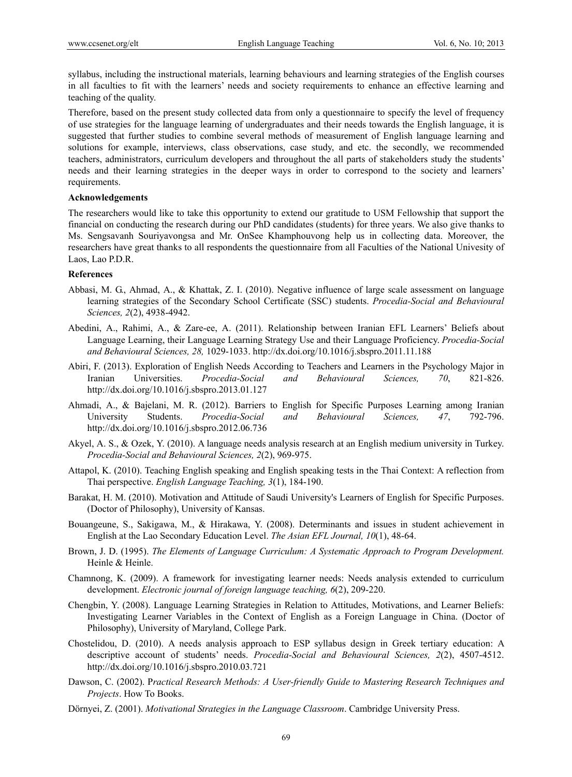syllabus, including the instructional materials, learning behaviours and learning strategies of the English courses in all faculties to fit with the learners' needs and society requirements to enhance an effective learning and teaching of the quality.

Therefore, based on the present study collected data from only a questionnaire to specify the level of frequency of use strategies for the language learning of undergraduates and their needs towards the English language, it is suggested that further studies to combine several methods of measurement of English language learning and solutions for example, interviews, class observations, case study, and etc. the secondly, we recommended teachers, administrators, curriculum developers and throughout the all parts of stakeholders study the students' needs and their learning strategies in the deeper ways in order to correspond to the society and learners' requirements.

## **Acknowledgements**

The researchers would like to take this opportunity to extend our gratitude to USM Fellowship that support the financial on conducting the research during our PhD candidates (students) for three years. We also give thanks to Ms. Sengsavanh Souriyavongsa and Mr. OnSee Khamphouvong help us in collecting data. Moreover, the researchers have great thanks to all respondents the questionnaire from all Faculties of the National Univesity of Laos, Lao P.D.R.

# **References**

- Abbasi, M. G., Ahmad, A., & Khattak, Z. I. (2010). Negative influence of large scale assessment on language learning strategies of the Secondary School Certificate (SSC) students. *Procedia-Social and Behavioural Sciences, 2*(2), 4938-4942.
- Abedini, A., Rahimi, A., & Zare-ee, A. (2011). Relationship between Iranian EFL Learners' Beliefs about Language Learning, their Language Learning Strategy Use and their Language Proficiency. *Procedia-Social and Behavioural Sciences, 28,* 1029-1033. http://dx.doi.org/10.1016/j.sbspro.2011.11.188
- Abiri, F. (2013). Exploration of English Needs According to Teachers and Learners in the Psychology Major in Iranian Universities. *Procedia-Social and Behavioural Sciences, 70*, 821-826. http://dx.doi.org/10.1016/j.sbspro.2013.01.127
- Ahmadi, A., & Bajelani, M. R. (2012). Barriers to English for Specific Purposes Learning among Iranian University Students. *Procedia-Social and Behavioural Sciences, 47*, 792-796. http://dx.doi.org/10.1016/j.sbspro.2012.06.736
- Akyel, A. S., & Ozek, Y. (2010). A language needs analysis research at an English medium university in Turkey. *Procedia-Social and Behavioural Sciences, 2*(2), 969-975.
- Attapol, K. (2010). Teaching English speaking and English speaking tests in the Thai Context: A reflection from Thai perspective. *English Language Teaching, 3*(1), 184-190.
- Barakat, H. M. (2010). Motivation and Attitude of Saudi University's Learners of English for Specific Purposes. (Doctor of Philosophy), University of Kansas.
- Bouangeune, S., Sakigawa, M., & Hirakawa, Y. (2008). Determinants and issues in student achievement in English at the Lao Secondary Education Level. *The Asian EFL Journal, 10*(1), 48-64.
- Brown, J. D. (1995). *The Elements of Language Curriculum: A Systematic Approach to Program Development.* Heinle & Heinle.
- Chamnong, K. (2009). A framework for investigating learner needs: Needs analysis extended to curriculum development. *Electronic journal of foreign language teaching, 6*(2), 209-220.
- Chengbin, Y. (2008). Language Learning Strategies in Relation to Attitudes, Motivations, and Learner Beliefs: Investigating Learner Variables in the Context of English as a Foreign Language in China. (Doctor of Philosophy), University of Maryland, College Park.
- Chostelidou, D. (2010). A needs analysis approach to ESP syllabus design in Greek tertiary education: A descriptive account of students' needs. *Procedia-Social and Behavioural Sciences, 2*(2), 4507-4512. http://dx.doi.org/10.1016/j.sbspro.2010.03.721
- Dawson, C. (2002). P*ractical Research Methods: A User-friendly Guide to Mastering Research Techniques and Projects*. How To Books.
- Dörnyei, Z. (2001). *Motivational Strategies in the Language Classroom*. Cambridge University Press.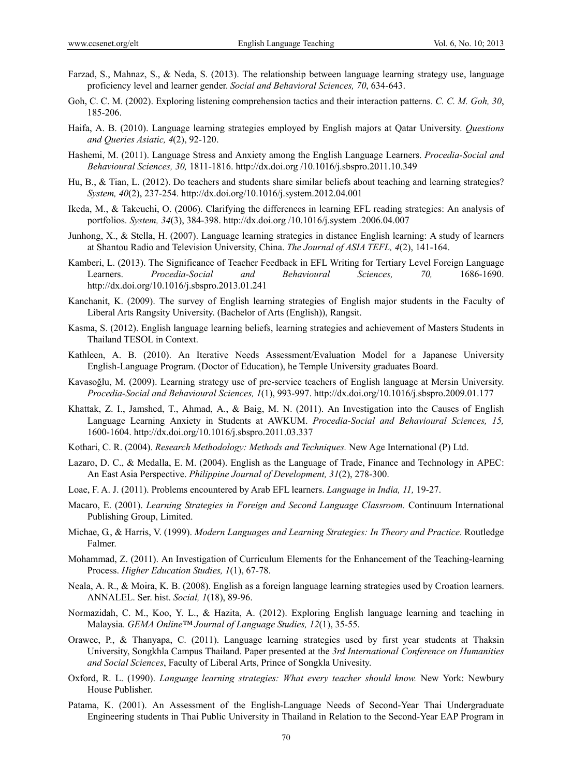- Farzad, S., Mahnaz, S., & Neda, S. (2013). The relationship between language learning strategy use, language proficiency level and learner gender. *Social and Behavioral Sciences, 70*, 634-643.
- Goh, C. C. M. (2002). Exploring listening comprehension tactics and their interaction patterns. *C. C. M. Goh, 30*, 185-206.
- Haifa, A. B. (2010). Language learning strategies employed by English majors at Qatar University. *Questions and Queries Asiatic, 4*(2), 92-120.
- Hashemi, M. (2011). Language Stress and Anxiety among the English Language Learners. *Procedia-Social and Behavioural Sciences, 30,* 1811-1816. http://dx.doi.org /10.1016/j.sbspro.2011.10.349
- Hu, B., & Tian, L. (2012). Do teachers and students share similar beliefs about teaching and learning strategies? *System, 40*(2), 237-254. http://dx.doi.org/10.1016/j.system.2012.04.001
- Ikeda, M., & Takeuchi, O. (2006). Clarifying the differences in learning EFL reading strategies: An analysis of portfolios. *System, 34*(3), 384-398. http://dx.doi.org /10.1016/j.system .2006.04.007
- Junhong, X., & Stella, H. (2007). Language learning strategies in distance English learning: A study of learners at Shantou Radio and Television University, China. *The Journal of ASIA TEFL, 4*(2), 141-164.
- Kamberi, L. (2013). The Significance of Teacher Feedback in EFL Writing for Tertiary Level Foreign Language Learners. *Procedia-Social and Behavioural Sciences, 70,* 1686-1690. http://dx.doi.org/10.1016/j.sbspro.2013.01.241
- Kanchanit, K. (2009). The survey of English learning strategies of English major students in the Faculty of Liberal Arts Rangsity University. (Bachelor of Arts (English)), Rangsit.
- Kasma, S. (2012). English language learning beliefs, learning strategies and achievement of Masters Students in Thailand TESOL in Context.
- Kathleen, A. B. (2010). An Iterative Needs Assessment/Evaluation Model for a Japanese University English-Language Program. (Doctor of Education), he Temple University graduates Board.
- Kavasoğlu, M. (2009). Learning strategy use of pre-service teachers of English language at Mersin University. *Procedia-Social and Behavioural Sciences, 1*(1), 993-997. http://dx.doi.org/10.1016/j.sbspro.2009.01.177
- Khattak, Z. I., Jamshed, T., Ahmad, A., & Baig, M. N. (2011). An Investigation into the Causes of English Language Learning Anxiety in Students at AWKUM. *Procedia-Social and Behavioural Sciences, 15,* 1600-1604. http://dx.doi.org/10.1016/j.sbspro.2011.03.337
- Kothari, C. R. (2004). *Research Methodology: Methods and Techniques.* New Age International (P) Ltd.
- Lazaro, D. C., & Medalla, E. M. (2004). English as the Language of Trade, Finance and Technology in APEC: An East Asia Perspective. *Philippine Journal of Development, 31*(2), 278-300.
- Loae, F. A. J. (2011). Problems encountered by Arab EFL learners. *Language in India, 11,* 19-27.
- Macaro, E. (2001). *Learning Strategies in Foreign and Second Language Classroom.* Continuum International Publishing Group, Limited.
- Michae, G., & Harris, V. (1999). *Modern Languages and Learning Strategies: In Theory and Practice*. Routledge Falmer.
- Mohammad, Z. (2011). An Investigation of Curriculum Elements for the Enhancement of the Teaching-learning Process. *Higher Education Studies, 1*(1), 67-78.
- Neala, A. R., & Moira, K. B. (2008). English as a foreign language learning strategies used by Croation learners. ANNALEL. Ser. hist. *Social, 1*(18), 89-96.
- Normazidah, C. M., Koo, Y. L., & Hazita, A. (2012). Exploring English language learning and teaching in Malaysia. *GEMA Online™ Journal of Language Studies, 12*(1), 35-55.
- Orawee, P., & Thanyapa, C. (2011). Language learning strategies used by first year students at Thaksin University, Songkhla Campus Thailand. Paper presented at the *3rd International Conference on Humanities and Social Sciences*, Faculty of Liberal Arts, Prince of Songkla Univesity.
- Oxford, R. L. (1990). *Language learning strategies: What every teacher should know.* New York: Newbury House Publisher.
- Patama, K. (2001). An Assessment of the English-Language Needs of Second-Year Thai Undergraduate Engineering students in Thai Public University in Thailand in Relation to the Second-Year EAP Program in